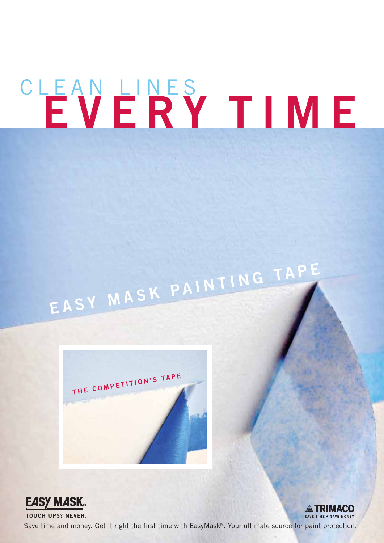## CLEAN LINES  **EVERY TIM E**

# **EASY MASK PAINTING TAP<sup>E</sup>**





**TOUCH UPS? NEVER.** Save time and money. Get it right the first time with EasyMask®. Your ultimate source for paint protection.